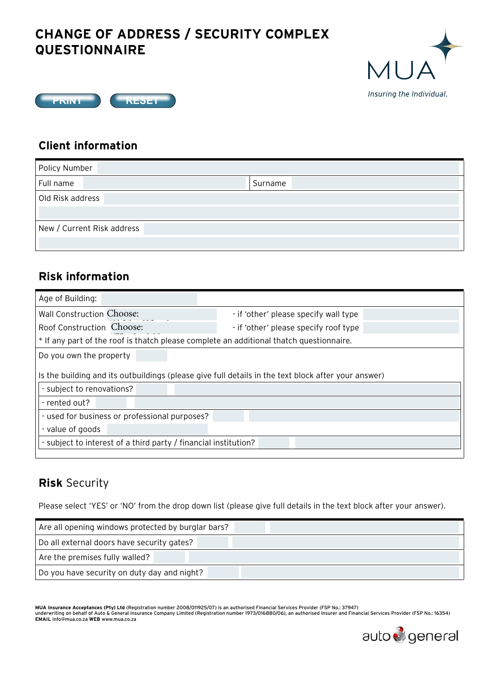# **CHANGE OF ADDRESS / SECURITY COMPLEX QUESTIONNAIRE**





#### **Client information**

| Policy Number              |         |  |
|----------------------------|---------|--|
| Full name                  | Surname |  |
| Old Risk address           |         |  |
| New / Current Risk address |         |  |
|                            |         |  |

#### **Risk information**

| Age of Building:                                                                                                                                  |                                       |
|---------------------------------------------------------------------------------------------------------------------------------------------------|---------------------------------------|
| Wall Construction Choose:                                                                                                                         | - if 'other' please specify wall type |
| Roof Construction Choose:                                                                                                                         | - if 'other' please specify roof type |
| * If any part of the roof is thatch please complete an additional thatch questionnaire.                                                           |                                       |
| Do you own the property                                                                                                                           |                                       |
| Is the building and its outbuildings (please give full details in the text block after your answer)<br>- subject to renovations?<br>- rented out? |                                       |
| - used for business or professional purposes?                                                                                                     |                                       |
| - value of goods                                                                                                                                  |                                       |
| - subject to interest of a third party / financial institution?                                                                                   |                                       |
|                                                                                                                                                   |                                       |

## **Risk** Security

Please select 'YES' or 'NO' from the drop down list (please give full details in the text block after your answer).

| Are all opening windows protected by burglar bars? |
|----------------------------------------------------|
| Do all external doors have security gates?         |
| Are the premises fully walled?                     |
| Do you have security on duty day and night?        |
|                                                    |

MUA Insurance Acceptances (Pty) Ltd (Registration number 2008/011925/07) is an authorised Financial Services Provider (FSP No.: 37947)<br>underwriting on behalf of Auto & General Insurance Company Limited (Registration number